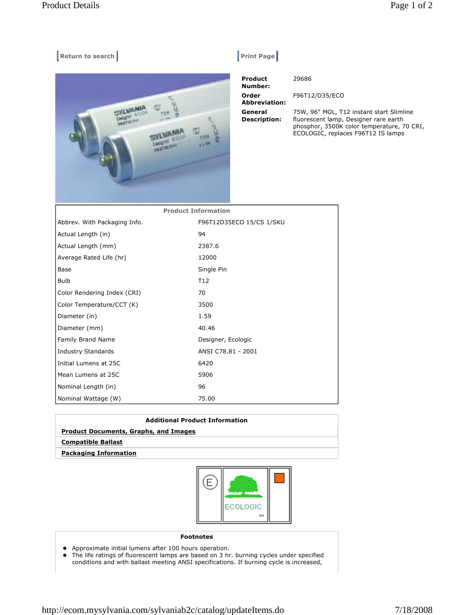## **Return to search Return Construction Construction Construction Construction Construction Construction Construction Construction Construction Construction Construction Construction Construction Construction Construction Co**



| <b>Product</b><br>Number:      | 29686                                                                                                                                                                 |
|--------------------------------|-----------------------------------------------------------------------------------------------------------------------------------------------------------------------|
| Order<br><b>Abbreviation:</b>  | F96T12/D35/ECO                                                                                                                                                        |
| General<br><b>Description:</b> | 75W, 96" MOL, T12 instant start Slimline<br>fluorescent lamp, Designer rare earth<br>phosphor, 3500K color temperature, 70 CRI,<br>ECOLOGIC, replaces F96T12 IS lamps |

| <b>Product Information</b>   |                          |  |
|------------------------------|--------------------------|--|
| Abbrev. With Packaging Info. | F96T12D35ECO 15/CS 1/SKU |  |
| Actual Length (in)           | 94                       |  |
| Actual Length (mm)           | 2387.6                   |  |
| Average Rated Life (hr)      | 12000                    |  |
| Base                         | Single Pin               |  |
| <b>Bulb</b>                  | T <sub>12</sub>          |  |
| Color Rendering Index (CRI)  | 70                       |  |
| Color Temperature/CCT (K)    | 3500                     |  |
| Diameter (in)                | 1.59                     |  |
| Diameter (mm)                | 40.46                    |  |
| Family Brand Name            | Designer, Ecologic       |  |
| <b>Industry Standards</b>    | ANSI C78.81 - 2001       |  |
| Initial Lumens at 25C        | 6420                     |  |
| Mean Lumens at 25C           | 5906                     |  |
| Nominal Length (in)          | 96                       |  |
| Nominal Wattage (W)          | 75.00                    |  |

| <b>Additional Product Information</b>        |  |  |
|----------------------------------------------|--|--|
| <b>Product Documents, Graphs, and Images</b> |  |  |
| <b>Compatible Ballast</b>                    |  |  |
| <b>Packaging Information</b>                 |  |  |
|                                              |  |  |



## **Footnotes**

- Approximate initial lumens after 100 hours operation.
- The life ratings of fluorescent lamps are based on 3 hr. burning cycles under specified conditions and with ballast meeting ANSI specifications. If burning cycle is increased,